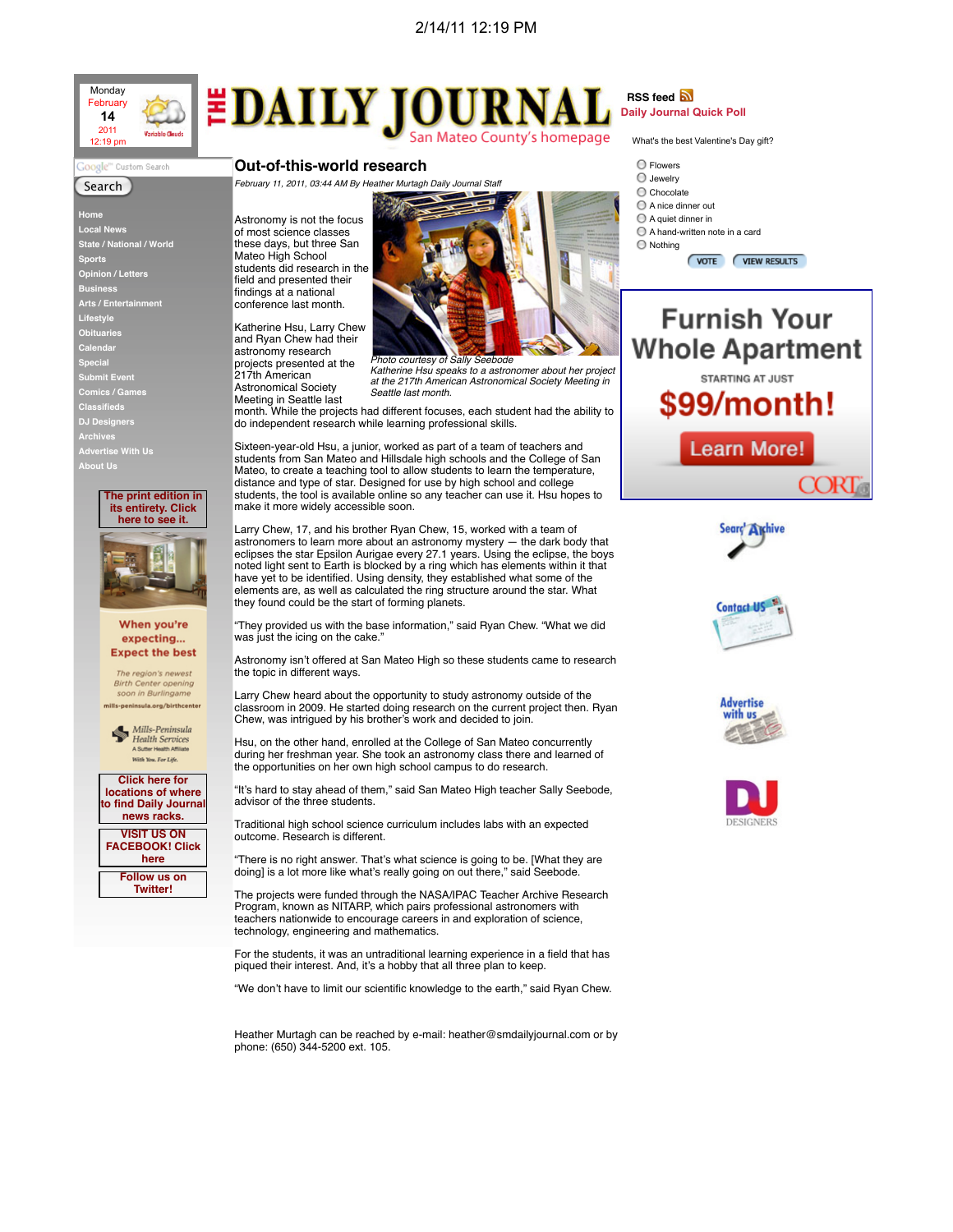

## **EDAILY JOURNA** San Mateo County's homepage

**Out-of-this-world research**

Mateo High School

findings at a national conference last month.

astronomy research projects presented at the 217th American Astronomical Society

## oogle™ Custom Search

## Search

 **Home Local News State / National / World Sports Opinion / Letters Business Arts / Entertainment Lifestyle Obituaries Calendar Special Submit Event Comics / Games Classifieds Archives Advertise With Us About Us**



When you're expecting... **Expect the best** 

The region's newest **Birth Center opening** soon in Burlingam mills-peninsula.org/birthcenter



**Click here for locations of where to find Daily Journal news racks. VISIT US ON FACEBOOK! Click here Follow us on**

**Twitter!**



*Photo courtesy of Sally Seebode Katherine Hsu speaks to a astronomer about her project at the 217th American Astronomical Society Meeting in*

*Seattle last month.* Meeting in Seattle last month. While the projects had different focuses, each student had the ability to do independent research while learning professional skills.

Sixteen-year-old Hsu, a junior, worked as part of a team of teachers and students from San Mateo and Hillsdale high schools and the College of San Mateo, to create a teaching tool to allow students to learn the temperature, distance and type of star. Designed for use by high school and college students, the tool is available online so any teacher can use it. Hsu hopes to make it more widely accessible soon.

Larry Chew, 17, and his brother Ryan Chew, 15, worked with a team of astronomers to learn more about an astronomy mystery — the dark body that eclipses the star Epsilon Aurigae every 27.1 years. Using the eclipse, the boys noted light sent to Earth is blocked by a ring which has elements within it that have yet to be identified. Using density, they established what some of the elements are, as well as calculated the ring structure around the star. What they found could be the start of forming planets.

"They provided us with the base information," said Ryan Chew. "What we did was just the icing on the cake."

Astronomy isn't offered at San Mateo High so these students came to research the topic in different ways.

Larry Chew heard about the opportunity to study astronomy outside of the classroom in 2009. He started doing research on the current project then. Ryan Chew, was intrigued by his brother's work and decided to join.

Hsu, on the other hand, enrolled at the College of San Mateo concurrently during her freshman year. She took an astronomy class there and learned of the opportunities on her own high school campus to do research.

"It's hard to stay ahead of them," said San Mateo High teacher Sally Seebode, advisor of the three students.

Traditional high school science curriculum includes labs with an expected outcome. Research is different.

"There is no right answer. That's what science is going to be. [What they are doing] is a lot more like what's really going on out there," said Seebode.

The projects were funded through the NASA/IPAC Teacher Archive Research Program, known as NITARP, which pairs professional astronomers with teachers nationwide to encourage careers in and exploration of science, technology, engineering and mathematics.

For the students, it was an untraditional learning experience in a field that has piqued their interest. And, it's a hobby that all three plan to keep.

"We don't have to limit our scientific knowledge to the earth," said Ryan Chew.

Heather Murtagh can be reached by e-mail: heather@smdailyjournal.com or by phone: (650) 344-5200 ext. 105.

**RSS feed a Daily Journal Quick Poll**

What's the best Valentine's Day gift?

- $\bigcirc$  Flowers Jewelry
- O Chocolate
- A nice dinner out
- A quiet dinner in
- A hand-written note in a card
- Nothing